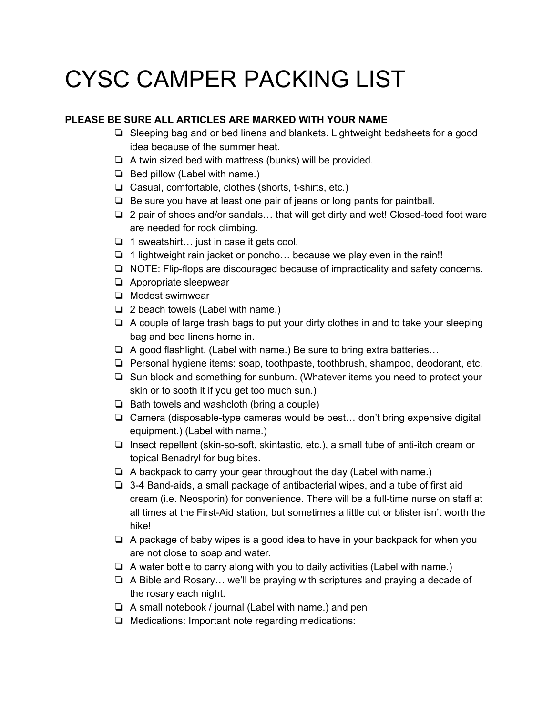## CYSC CAMPER PACKING LIST

## **PLEASE BE SURE ALL ARTICLES ARE MARKED WITH YOUR NAME**

- ❏ Sleeping bag and or bed linens and blankets. Lightweight bedsheets for a good idea because of the summer heat.
- ❏ A twin sized bed with mattress (bunks) will be provided.
- ❏ Bed pillow (Label with name.)
- ❏ Casual, comfortable, clothes (shorts, t-shirts, etc.)
- ❏ Be sure you have at least one pair of jeans or long pants for paintball.
- ❏ 2 pair of shoes and/or sandals… that will get dirty and wet! Closed-toed foot ware are needed for rock climbing.
- ❏ 1 sweatshirt… just in case it gets cool.
- ❏ 1 lightweight rain jacket or poncho… because we play even in the rain!!
- ❏ NOTE: Flip-flops are discouraged because of impracticality and safety concerns.
- ❏ Appropriate sleepwear
- ❏ Modest swimwear
- ❏ 2 beach towels (Label with name.)
- ❏ A couple of large trash bags to put your dirty clothes in and to take your sleeping bag and bed linens home in.
- ❏ A good flashlight. (Label with name.) Be sure to bring extra batteries…
- ❏ Personal hygiene items: soap, toothpaste, toothbrush, shampoo, deodorant, etc.
- ❏ Sun block and something for sunburn. (Whatever items you need to protect your skin or to sooth it if you get too much sun.)
- ❏ Bath towels and washcloth (bring a couple)
- ❏ Camera (disposable-type cameras would be best… don't bring expensive digital equipment.) (Label with name.)
- ❏ Insect repellent (skin-so-soft, skintastic, etc.), a small tube of anti-itch cream or topical Benadryl for bug bites.
- ❏ A backpack to carry your gear throughout the day (Label with name.)
- ❏ 3-4 Band-aids, a small package of antibacterial wipes, and a tube of first aid cream (i.e. Neosporin) for convenience. There will be a full-time nurse on staff at all times at the First-Aid station, but sometimes a little cut or blister isn't worth the hike!
- ❏ A package of baby wipes is a good idea to have in your backpack for when you are not close to soap and water.
- ❏ A water bottle to carry along with you to daily activities (Label with name.)
- ❏ A Bible and Rosary… we'll be praying with scriptures and praying a decade of the rosary each night.
- ❏ A small notebook / journal (Label with name.) and pen
- ❏ Medications: Important note regarding medications: